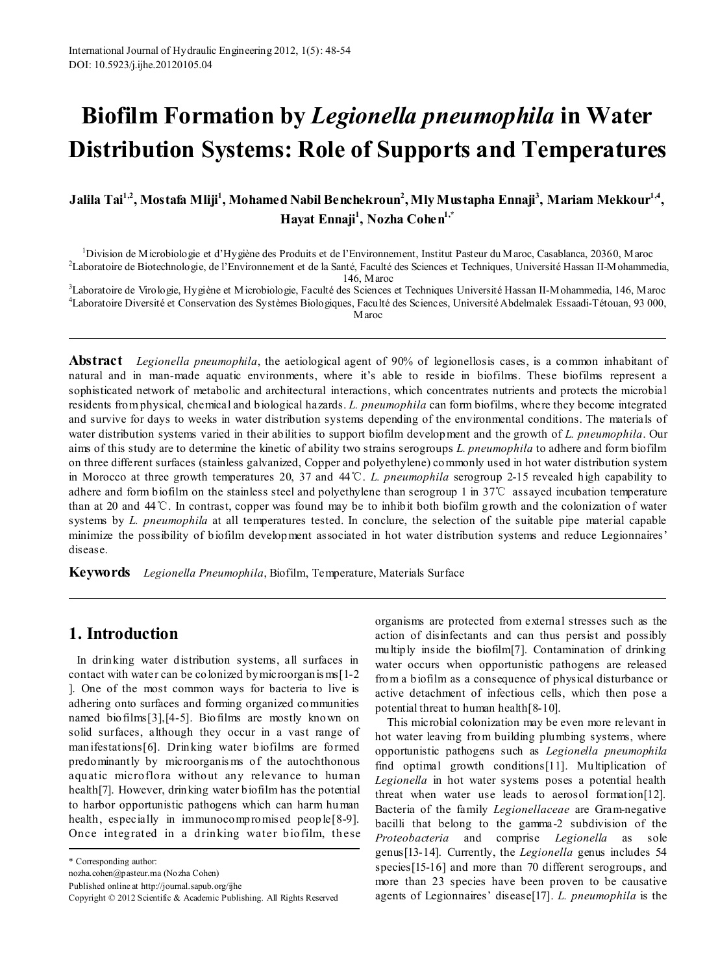# **Biofilm Formation by** *Legionella pneumophila* **in Water Distribution Systems: Role of Supports and Temperatures**

Jalila Tai<sup>1,2</sup>, Mostafa Mliji<sup>1</sup>, Mohamed Nabil Benchekroun<sup>2</sup>, Mly Mustapha Ennaji<sup>3</sup>, Mariam Mekkour<sup>1,4</sup>, **Hayat Ennaji1 , Nozha Cohen1,\***

<sup>1</sup>Division de Microbiologie et d'Hygiène des Produits et de l'Environnement, Institut Pasteur du Maroc, Casablanca, 20360, Maroc

2 Laboratoire de Biotechnologie, de l'Environnement et de la Santé, Faculté des Sciences et Techniques, Université Hassan II-Mohammedia, 146, Maroc <sup>3</sup> Laboratoire de Virologie, Hygiène et Microbiologie, Faculté des Sciences et Techniques Université Hassan II-Mohammedia, 146, Maroc

4 Laboratoire Diversité et Conservation des Systèmes Biologiques, Faculté des Sciences, Université Abdelmalek Essaadi-Tétouan, 93 000, Maroc

**Abstract** *Legionella pneumophila*, the aetiological agent of 90% of legionellosis cases, is a common inhabitant of natural and in man-made aquatic environments, where it's able to reside in biofilms. These biofilms represent a sophisticated network of metabolic and architectural interactions, which concentrates nutrients and protects the microbial residents from physical, chemical and biological hazards. *L. pneumophila* can form biofilms, where they become integrated and survive for days to weeks in water distribution systems depending of the environmental conditions. The materials of water distribution systems varied in their abilities to support biofilm development and the growth of *L. pneumophila*. Our aims of this study are to determine the kinetic of ability two strains serogroups *L. pneumophila* to adhere and form biofilm on three different surfaces (stainless galvanized, Copper and polyethylene) commonly used in hot water distribution system in Morocco at three growth temperatures 20, 37 and 44℃. *L. pneumophila* serogroup 2-15 revealed high capability to adhere and form biofilm on the stainless steel and polyethylene than serogroup 1 in 37℃ assayed incubation temperature than at 20 and 44℃. In contrast, copper was found may be to inhibit both biofilm growth and the colonization of water systems by *L. pneumophila* at all temperatures tested. In conclure, the selection of the suitable pipe material capable minimize the possibility of biofilm development associated in hot water distribution systems and reduce Legionnaires' disease.

**Keywords** *Legionella Pneumophila*, Biofilm, Temperature, Materials Surface

# **1. Introduction**

In drinking water distribution systems, all surfaces in contact with water can be colonized bymicroorganis ms[1-2 ]. One of the most common ways for bacteria to live is adhering onto surfaces and forming organized communities named biofilms[3],[4-5]. Biofilms are mostly known on solid surfaces, although they occur in a vast range of manifestations[6]. Drinking water biofilms are formed predominantly by microorganis ms of the autochthonous aquatic microflora without any relevance to human health[7]. However, drinking water biofilm has the potential to harbor opportunistic pathogens which can harm human health, especially in immunocompromised people[8-9]. Once integrated in a drinking water biofilm, these

nozha.cohen@pasteur.ma (Nozha Cohen)

Published online at http://journal.sapub.org/ijhe

organisms are protected from external stresses such as the action of disinfectants and can thus persist and possibly multiply inside the biofilm[7]. Contamination of drinking water occurs when opportunistic pathogens are released from a biofilm as a consequence of physical disturbance or active detachment of infectious cells, which then pose a potential threat to human health[8-10].

This microbial colonization may be even more relevant in hot water leaving from building plumbing systems, where opportunistic pathogens such as *Legionella pneumophila* find optimal growth conditions[11]. Multiplication of *Legionella* in hot water systems poses a potential health threat when water use leads to aerosol formation[12]. Bacteria of the family *Legionellaceae* are Gram-negative bacilli that belong to the gamma-2 subdivision of the *Proteobacteria* and comprise *Legionella* as sole genus[13-14]. Currently, the *Legionella* genus includes 54 species[15-16] and more than 70 different serogroups, and more than 23 species have been proven to be causative agents of Legionnaires' disease[17]. *L. pneumophila* is the

<sup>\*</sup> Corresponding author:

Copyright © 2012 Scientific & Academic Publishing. All Rights Reserved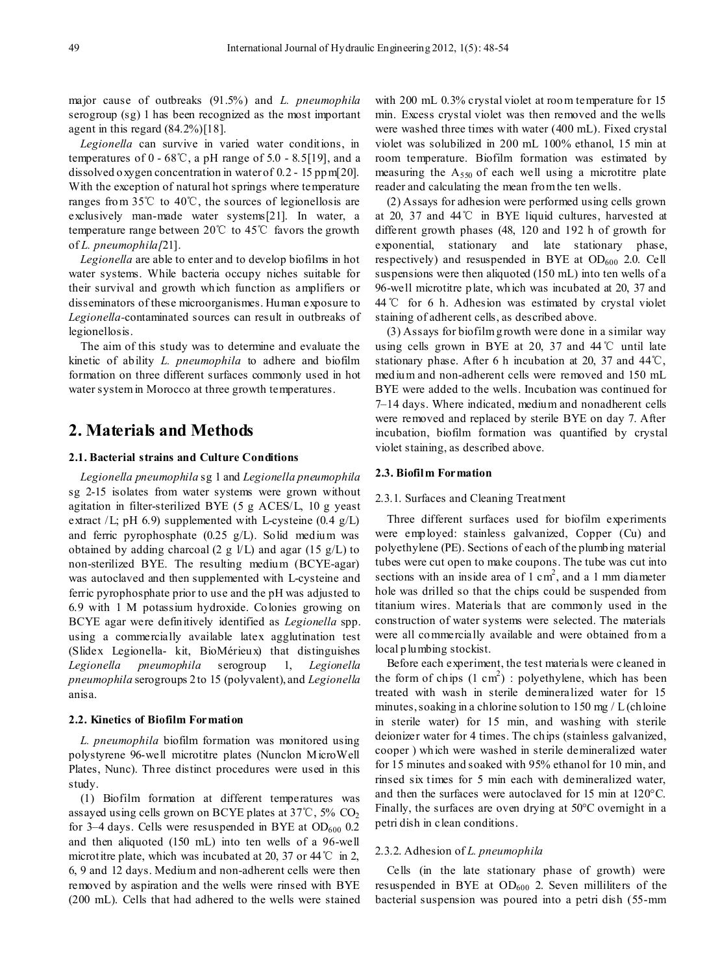major cause of outbreaks (91.5%) and *L. pneumophila* serogroup (sg) 1 has been recognized as the most important agent in this regard  $(84.2\%)$ [18].

*Legionella* can survive in varied water conditions, in temperatures of  $0 - 68^{\circ}\text{C}$ , a pH range of  $5.0 - 8.5[19]$ , and a dissolved oxygen concentration in water of 0.2 - 15 ppm[20]. With the exception of natural hot springs where temperature ranges from 35℃ to 40℃, the sources of legionellosis are exclusively man-made water systems[21]. In water, a temperature range between 20℃ to 45℃ favors the growth of *L. pneumophila[*21].

*Legionella* are able to enter and to develop biofilms in hot water systems. While bacteria occupy niches suitable for their survival and growth which function as amplifiers or disseminators of these microorganismes. Human exposure to *Legionella-*contaminated sources can result in outbreaks of legionellosis.

The aim of this study was to determine and evaluate the kinetic of ability *L. pneumophila* to adhere and biofilm formation on three different surfaces commonly used in hot water system in Morocco at three growth temperatures.

# **2. Materials and Methods**

## **2.1. Bacterial strains and Culture Conditions**

*Legionella pneumophila* sg 1 and *Legionella pneumophila*  sg 2-15 isolates from water systems were grown without agitation in filter-sterilized BYE (5 g ACES/L, 10 g yeast extract  $/L$ ; pH 6.9) supplemented with L-cysteine  $(0.4 \text{ g/L})$ and ferric pyrophosphate (0.25 g/L). Solid medium was obtained by adding charcoal (2 g  $V<sub>L</sub>$ ) and agar (15 g/L) to non-sterilized BYE. The resulting medium (BCYE-agar) was autoclaved and then supplemented with L-cysteine and ferric pyrophosphate prior to use and the pH was adjusted to 6.9 with 1 M potassium hydroxide. Colonies growing on BCYE agar were definitively identified as *Legionella* spp. using a commercially available latex agglutination test (Slidex Legionella- kit, BioMérieux) that distinguishes *Legionella pneumophila* serogroup 1, *Legionella pneumophila* serogroups 2 to 15 (polyvalent), and *Legionella* anisa.

## **2.2. Kinetics of Biofilm Formation**

*L. pneumophila* biofilm formation was monitored using polystyrene 96-well microtitre plates (Nunclon MicroWell Plates, Nunc). Three distinct procedures were used in this study.

(1) Biofilm formation at different temperatures was assayed using cells grown on BCYE plates at 37℃, 5% CO2 for 3–4 days. Cells were resuspended in BYE at  $OD_{600}$  0.2 and then aliquoted (150 mL) into ten wells of a 96-well microtitre plate, which was incubated at 20, 37 or 44 °C in 2, 6, 9 and 12 days. Medium and non-adherent cells were then removed by aspiration and the wells were rinsed with BYE (200 mL). Cells that had adhered to the wells were stained with 200 mL 0.3% crystal violet at room temperature for 15 min. Excess crystal violet was then removed and the wells were washed three times with water (400 mL). Fixed crystal violet was solubilized in 200 mL 100% ethanol, 15 min at room temperature. Biofilm formation was estimated by measuring the  $A_{550}$  of each well using a microtitre plate reader and calculating the mean from the ten wells.

(2) Assays for adhesion were performed using cells grown at 20, 37 and 44℃ in BYE liquid cultures, harvested at different growth phases (48, 120 and 192 h of growth for exponential, stationary and late stationary phase, respectively) and resuspended in BYE at  $OD<sub>600</sub>$  2.0. Cell suspensions were then aliquoted (150 mL) into ten wells of a 96-well microtitre plate, which was incubated at 20, 37 and 44℃ for 6 h. Adhesion was estimated by crystal violet staining of adherent cells, as described above.

(3) Assays for biofilm growth were done in a similar way using cells grown in BYE at 20, 37 and 44℃ until late stationary phase. After 6 h incubation at 20, 37 and 44℃, medium and non-adherent cells were removed and 150 mL BYE were added to the wells. Incubation was continued for 7–14 days. Where indicated, medium and nonadherent cells were removed and replaced by sterile BYE on day 7. After incubation, biofilm formation was quantified by crystal violet staining, as described above.

## **2.3. Biofilm Formation**

## 2.3.1. Surfaces and Cleaning Treatment

Three different surfaces used for biofilm experiments were employed: stainless galvanized, Copper (Cu) and polyethylene (PE). Sections of each of the plumbing material tubes were cut open to make coupons. The tube was cut into sections with an inside area of  $1 \text{ cm}^2$ , and a  $1 \text{ mm}$  diameter hole was drilled so that the chips could be suspended from titanium wires. Materials that are commonly used in the construction of water systems were selected. The materials were all commercially available and were obtained from a local plumbing stockist.

Before each experiment, the test materials were cleaned in the form of chips  $(1 \text{ cm}^2)$ : polyethylene, which has been treated with wash in sterile demineralized water for 15 minutes, soaking in a chlorine solution to  $150 \text{ mg}/\text{L}$  (chloine in sterile water) for 15 min, and washing with sterile deionizer water for 4 times. The chips (stainless galvanized, cooper ) which were washed in sterile demineralized water for 15 minutes and soaked with 95% ethanol for 10 min, and rinsed six times for 5 min each with demineralized water, and then the surfaces were autoclaved for 15 min at 120°C. Finally, the surfaces are oven drying at 50°C overnight in a petri dish in clean conditions.

#### 2.3.2. Adhesion of *L. pneumophila*

Cells (in the late stationary phase of growth) were resuspended in BYE at  $OD_{600}$  2. Seven milliliters of the bacterial suspension was poured into a petri dish (55-mm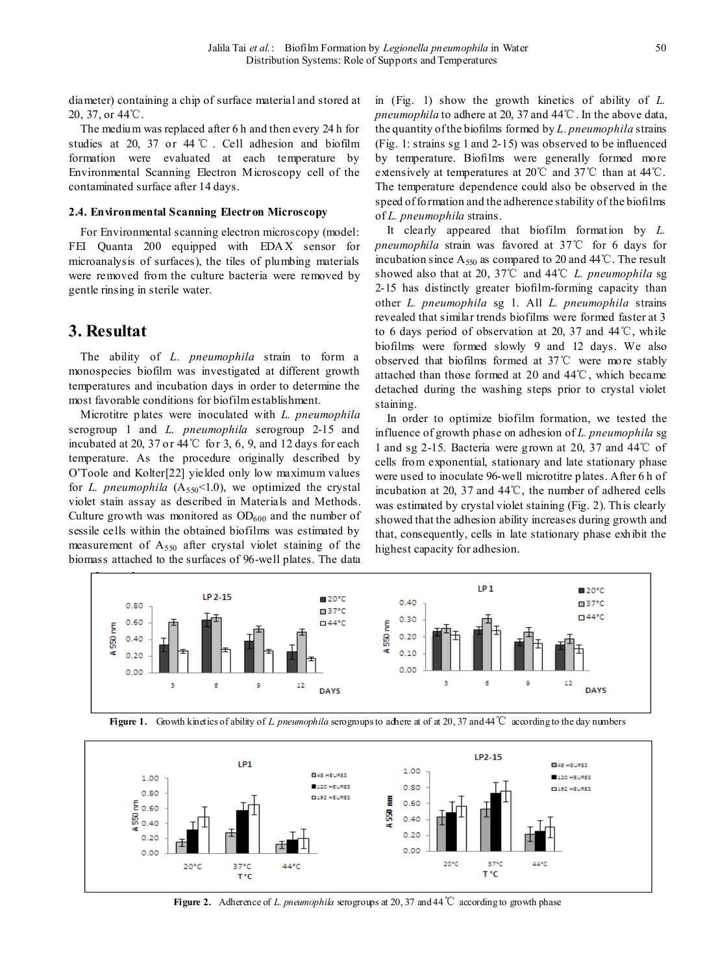diameter) containing a chip of surface material and stored at 20, 37, or 44℃.

The medium was replaced after 6 h and then every 24 h for studies at 20, 37 or 44 ℃ . Cell adhesion and biofilm formation were evaluated at each temperature by Environmental Scanning Electron Microscopy cell of the contaminated surface after 14 days.

## **2.4. Environmental Scanning Electron Microscopy**

For Environmental scanning electron microscopy (model: FEI Quanta 200 equipped with EDAX sensor for microanalysis of surfaces), the tiles of plumbing materials were removed from the culture bacteria were removed by gentle rinsing in sterile water.

## **3. Resultat**

The ability of *L. pneumophila* strain to form a monospecies biofilm was investigated at different growth temperatures and incubation days in order to determine the most favorable conditions for biofilm establishment.

Microtitre plates were inoculated with *L. pneumophila*  serogroup 1 and *L. pneumophila* serogroup 2-15 and incubated at 20, 37 or 44℃ for 3, 6, 9, and 12 days for each temperature. As the procedure originally described by O'Toole and Kolter[22] yielded only low maximum values for *L. pneumophila*  $(A_{550} < 1.0)$ , we optimized the crystal violet stain assay as described in Materials and Methods. Culture growth was monitored as  $OD<sub>600</sub>$  and the number of sessile cells within the obtained biofilms was estimated by measurement of  $A_{550}$  after crystal violet staining of the biomass attached to the surfaces of 96-well plates. The data

in (Fig. 1) show the growth kinetics of ability of *L. pneumophila* to adhere at 20, 37 and 44℃. In the above data, the quantity of the biofilms formed by *L. pneumophila* strains (Fig. 1: strains sg 1 and 2-15) was observed to be influenced by temperature. Biofilms were generally formed more extensively at temperatures at 20℃ and 37℃ than at 44℃. The temperature dependence could also be observed in the speed of formation and the adherence stability of the biofilms of *L. pneumophila* strains.

It clearly appeared that biofilm formation by *L. pneumophila* strain was favored at 37℃ for 6 days for incubation since  $A_{550}$  as compared to 20 and 44°C. The result showed also that at 20, 37℃ and 44℃ *L. pneumophila* sg 2-15 has distinctly greater biofilm-forming capacity than other *L. pneumophila* sg 1. All *L. pneumophila* strains revealed that similar trends biofilms were formed faster at 3 to 6 days period of observation at 20, 37 and  $44^{\circ}$ C, while biofilms were formed slowly 9 and 12 days. We also observed that biofilms formed at 37℃ were more stably attached than those formed at 20 and 44℃, which became detached during the washing steps prior to crystal violet staining.

In order to optimize biofilm formation, we tested the influence of growth phase on adhesion of *L. pneumophila* sg 1 and sg 2-15. Bacteria were grown at 20, 37 and 44℃ of cells from exponential, stationary and late stationary phase were used to inoculate 96-well microtitre plates. After 6 h of incubation at 20, 37 and 44℃, the number of adhered cells was estimated by crystal violet staining (Fig. 2). This clearly showed that the adhesion ability increases during growth and that, consequently, cells in late stationary phase exhibit the highest capacity for adhesion.



**Figure 1.** Growth kinetics of ability of *L. pneumophila* serogroups to adhere at of at 20, 37 and 44℃ according to the day numbers



**Figure 2.** Adherence of *L. pneumophila* serogroups at 20, 37 and 44℃ according to growth phase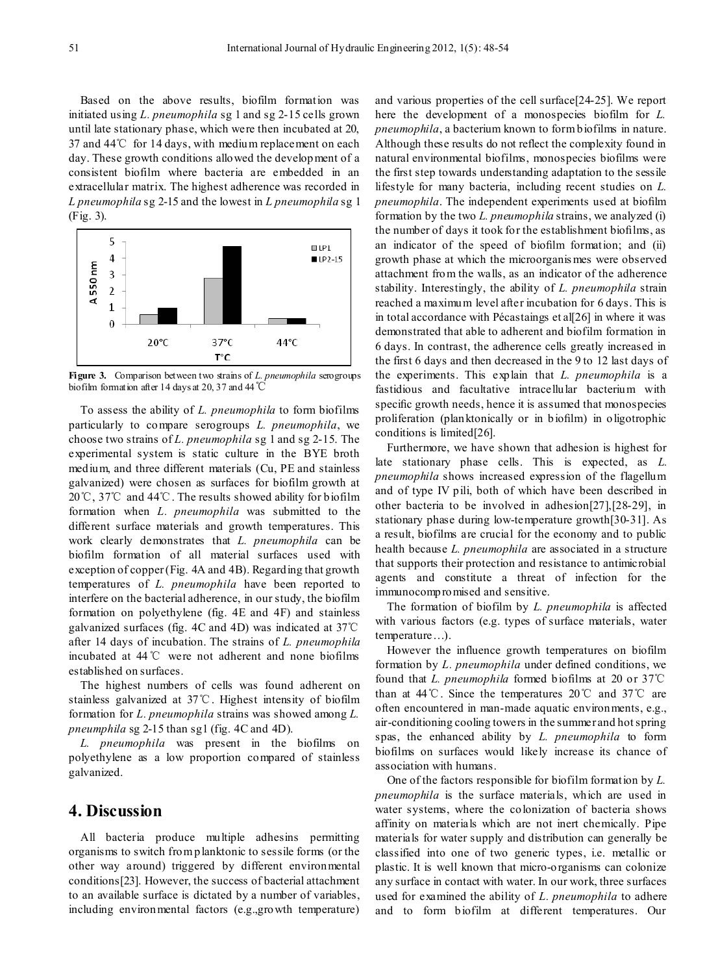Based on the above results, biofilm formation was initiated using *L. pneumophila* sg 1 and sg 2-15 cells grown until late stationary phase, which were then incubated at 20, 37 and 44℃ for 14 days, with medium replacement on each day. These growth conditions allowed the development of a consistent biofilm where bacteria are embedded in an extracellular matrix. The highest adherence was recorded in *L pneumophila* sg 2-15 and the lowest in *L pneumophila* sg 1 (Fig. 3).



**Figure 3.** Comparison between two strains of *L. pneumophila* serogroups biofilm formation after 14 days at 20, 37 and 44℃

To assess the ability of *L. pneumophila* to form biofilms particularly to compare serogroups *L. pneumophila*, we choose two strains of *L. pneumophila* sg 1 and sg 2-15. The experimental system is static culture in the BYE broth medium, and three different materials (Cu, PE and stainless galvanized) were chosen as surfaces for biofilm growth at 20℃, 37℃ and 44℃. The results showed ability for biofilm formation when *L. pneumophila* was submitted to the different surface materials and growth temperatures. This work clearly demonstrates that *L. pneumophila* can be biofilm formation of all material surfaces used with exception of copper (Fig. 4A and 4B). Regarding that growth temperatures of *L. pneumophila* have been reported to interfere on the bacterial adherence, in our study, the biofilm formation on polyethylene (fig. 4E and 4F) and stainless galvanized surfaces (fig. 4C and 4D) was indicated at 37℃ after 14 days of incubation. The strains of *L. pneumophila* incubated at 44℃ were not adherent and none biofilms established on surfaces.

The highest numbers of cells was found adherent on stainless galvanized at 37℃. Highest intensity of biofilm formation for *L. pneumophila* strains was showed among *L. pneumphila* sg 2-15 than sg1 (fig. 4C and 4D).

*L. pneumophila* was present in the biofilms on polyethylene as a low proportion compared of stainless galvanized.

# **4. Discussion**

All bacteria produce multiple adhesins permitting organisms to switch from planktonic to sessile forms (or the other way around) triggered by different environmental conditions[23]. However, the success of bacterial attachment to an available surface is dictated by a number of variables, including environmental factors (e.g.,growth temperature)

and various properties of the cell surface[24-25]. We report here the development of a monospecies biofilm for *L. pneumophila*, a bacterium known to form biofilms in nature. Although these results do not reflect the complexity found in natural environmental biofilms, monospecies biofilms were the first step towards understanding adaptation to the sessile lifestyle for many bacteria, including recent studies on *L. pneumophila*. The independent experiments used at biofilm formation by the two *L. pneumophila* strains, we analyzed (i) the number of days it took for the establishment biofilms, as an indicator of the speed of biofilm formation; and (ii) growth phase at which the microorganis mes were observed attachment from the walls, as an indicator of the adherence stability. Interestingly, the ability of *L. pneumophila* strain reached a maximum level after incubation for 6 days. This is in total accordance with Pécastaings et al[26] in where it was demonstrated that able to adherent and biofilm formation in 6 days. In contrast, the adherence cells greatly increased in the first 6 days and then decreased in the 9 to 12 last days of the experiments. This explain that *L. pneumophila* is a fastidious and facultative intracellular bacterium with specific growth needs, hence it is assumed that monospecies proliferation (planktonically or in biofilm) in oligotrophic conditions is limited[26].

Furthermore, we have shown that adhesion is highest for late stationary phase cells. This is expected, as *L. pneumophila* shows increased expression of the flagellum and of type IV pili, both of which have been described in other bacteria to be involved in adhesion[27],[28-29], in stationary phase during low-temperature growth[30-31]. As a result, biofilms are crucial for the economy and to public health because *L. pneumophila* are associated in a structure that supports their protection and resistance to antimicrobial agents and constitute a threat of infection for the immunocompromised and sensitive.

The formation of biofilm by *L. pneumophila* is affected with various factors (e.g. types of surface materials, water temperature…).

However the influence growth temperatures on biofilm formation by *L. pneumophila* under defined conditions, we found that *L. pneumophila* formed biofilms at 20 or 37℃ than at 44℃. Since the temperatures 20℃ and 37℃ are often encountered in man-made aquatic environments, e.g., air-conditioning cooling towers in the summer and hot spring spas, the enhanced ability by *L. pneumophila* to form biofilms on surfaces would likely increase its chance of association with humans.

One of the factors responsible for biofilm formation by *L. pneumophila* is the surface materials, which are used in water systems, where the colonization of bacteria shows affinity on materials which are not inert chemically. Pipe materials for water supply and distribution can generally be classified into one of two generic types, i.e. metallic or plastic. It is well known that micro-organisms can colonize any surface in contact with water. In our work, three surfaces used for examined the ability of *L. pneumophila* to adhere and to form biofilm at different temperatures. Our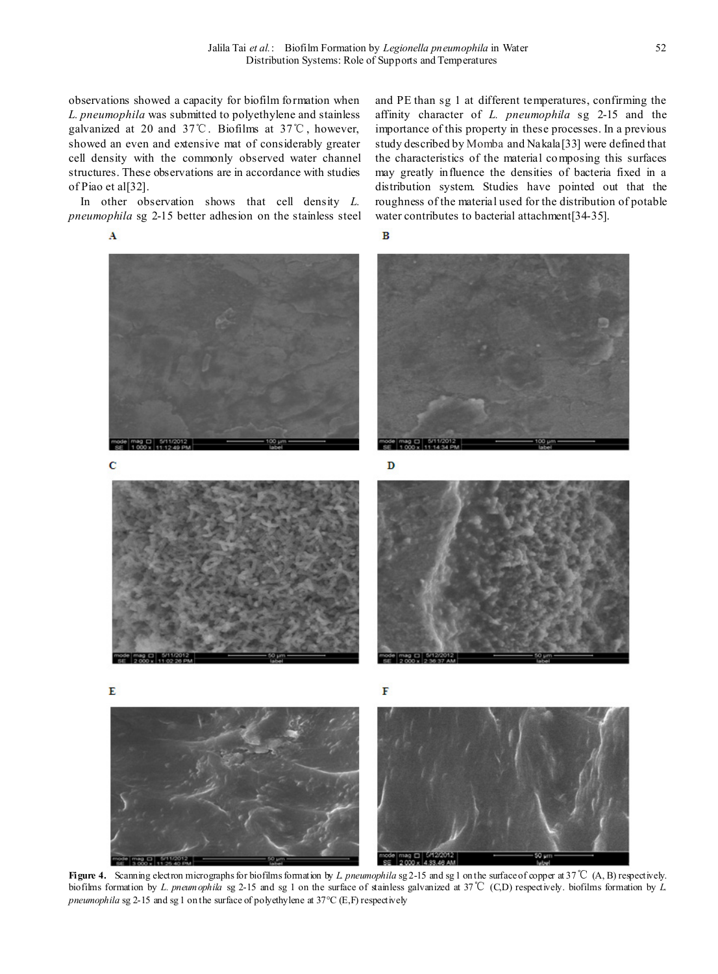observations showed a capacity for biofilm formation when *L. pneumophila* was submitted to polyethylene and stainless galvanized at 20 and 37℃. Biofilms at 37℃, however, showed an even and extensive mat of considerably greater cell density with the commonly observed water channel structures. These observations are in accordance with studies of Piao et al[32].

In other observation shows that cell density *L. pneumophila* sg 2-15 better adhesion on the stainless steel

A

and PE than sg 1 at different temperatures, confirming the affinity character of *L. pneumophila* sg 2-15 and the importance of this property in these processes. In a previous study described by Momba and Nakala[33] were defined that the characteristics of the material composing this surfaces may greatly influence the densities of bacteria fixed in a distribution system. Studies have pointed out that the roughness of the material used for the distribution of potable water contributes to bacterial attachment[34-35].







**Figure 4.** Scanning electron micrographs for biofilms formation by *L. pneumophila* sg 2-15 and sg 1 on the surface of copper at 37℃ (A, B) respectively. biofilms formation by *L. pneumophila* sg 2-15 and sg 1 on the surface of stainless galvanized at 37℃ (C,D) respectively. biofilms formation by *L. pneumophila* sg 2-15 and sg 1 on the surface of polyethylene at 37°C (E,F) respectively

A 33 AR AM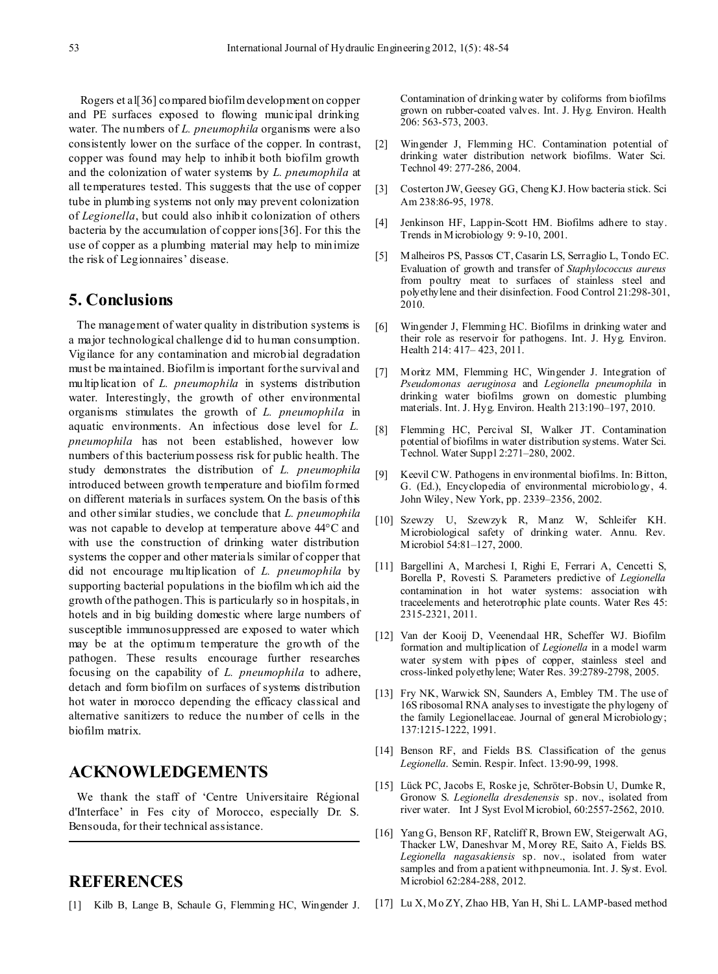Rogers et all 36 compared biofilm development on copper and PE surfaces exposed to flowing municipal drinking water. The numbers of *L. pneumophila* organisms were also consistently lower on the surface of the copper. In contrast, copper was found may help to inhibit both biofilm growth and the colonization of water systems by *L. pneumophila* at all temperatures tested. This suggests that the use of copper tube in plumbing systems not only may prevent colonization of *Legionella*, but could also inhibit colonization of others bacteria by the accumulation of copper ions[36]. For this the use of copper as a plumbing material may help to minimize the risk of Legionnaires' disease.

## **5. Conclusions**

The management of water quality in distribution systems is a major technological challenge did to human consumption. Vigilance for any contamination and microbial degradation must be maintained. Biofilm is important for the survival and multiplication of *L. pneumophila* in systems distribution water. Interestingly, the growth of other environmental organisms stimulates the growth of *L. pneumophila* in aquatic environments. An infectious dose level for *L. pneumophila* has not been established, however low numbers of this bacterium possess risk for public health. The study demonstrates the distribution of *L. pneumophila* introduced between growth temperature and biofilm formed on different materials in surfaces system. On the basis of this and other similar studies, we conclude that *L. pneumophila* was not capable to develop at temperature above 44°C and with use the construction of drinking water distribution systems the copper and other materials similar of copper that did not encourage multiplication of *L. pneumophila* by supporting bacterial populations in the biofilm which aid the growth of the pathogen. This is particularly so in hospitals, in hotels and in big building domestic where large numbers of susceptible immunosuppressed are exposed to water which may be at the optimum temperature the growth of the pathogen. These results encourage further researches focusing on the capability of *L. pneumophila* to adhere, detach and form biofilm on surfaces of systems distribution hot water in morocco depending the efficacy classical and alternative sanitizers to reduce the number of cells in the biofilm matrix.

# **ACKNOWLEDGEMENTS**

We thank the staff of 'Centre Universitaire Régional d'Interface' in Fes city of Morocco, especially Dr. S. Bensouda, for their technical assistance.

# **REFERENCES**

[1] Kilb B, Lange B, Schaule G, Flemming HC, Wingender J.

Contamination of drinking water by coliforms from biofilms grown on rubber-coated valves. Int. J. Hyg. Environ. Health 206: 563-573, 2003.

- [2] Wingender J, Flemming HC. Contamination potential of drinking water distribution network biofilms. Water Sci. Technol 49: 277-286, 2004.
- [3] Costerton JW, Geesey GG, Cheng KJ. How bacteria stick. Sci Am 238:86-95, 1978.
- [4] Jenkinson HF, Lappin-Scott HM. Biofilms adhere to stay. Trends in Microbiology 9: 9-10, 2001.
- [5] Malheiros PS, Passos CT, Casarin LS, Serraglio L, Tondo EC. Evaluation of growth and transfer of *Staphylococcus aureus* from poultry meat to surfaces of stainless steel and polyethylene and their disinfection. Food Control 21:298-301, 2010.
- [6] Wingender J, Flemming HC. Biofilms in drinking water and their role as reservoir for pathogens. Int. J. Hyg. Environ. Health 214: 417– 423, 2011.
- [7] Moritz MM, Flemming HC, Wingender J. Integration of *Pseudomonas aeruginosa* and *Legionella pneumophila* in drinking water biofilms grown on domestic plumbing materials. Int. J. Hyg. Environ. Health 213:190–197, 2010.
- [8] Flemming HC, Percival SI, Walker JT. Contamination potential of biofilms in water distribution systems. Water Sci. Technol. Water Suppl 2:271–280, 2002.
- [9] Keevil CW. Pathogens in environmental biofilms. In: Bitton, G. (Ed.), Encyclopedia of environmental microbiology, 4. John Wiley, New York, pp. 2339–2356, 2002.
- [10] Szewzy U, Szewzyk R, Manz W, Schleifer KH. Microbiological safety of drinking water. Annu. Rev. Microbiol 54:81–127, 2000.
- [11] Bargellini A, Marchesi I, Righi E, Ferrari A, Cencetti S, Borella P, Rovesti S. Parameters predictive of *Legionella* contamination in hot water systems: association with traceelements and heterotrophic plate counts. Water Res 45: 2315-2321, 2011.
- [12] Van der Kooij D, Veenendaal HR, Scheffer WJ. Biofilm formation and multiplication of *Legionella* in a model warm water system with pipes of copper, stainless steel and cross-linked polyethylene; Water Res. 39:2789-2798, 2005.
- [13] Fry NK, Warwick SN, Saunders A, Embley TM. The use of 16S ribosomal RNA analyses to investigate the phylogeny of the family Legionellaceae. Journal of general Microbiology; 137:1215-1222, 1991.
- [14] Benson RF, and Fields BS. Classification of the genus *Legionella*. Semin. Respir. Infect. 13:90-99, 1998.
- [15] Lück PC, Jacobs E, Roske je, Schröter-Bobsin U, Dumke R, Gronow S. *Legionella dresdenensis* sp. nov., isolated from river water. Int J Syst Evol Microbiol, 60:2557-2562, 2010.
- [16] Yang G, Benson RF, Ratcliff R, Brown EW, Steigerwalt AG, Thacker LW, Daneshvar M, Morey RE, Saito A, Fields BS. *Legionella nagasakiensis* sp. nov., isolated from water samples and from a patient with pneumonia. Int. J. Syst. Evol. Microbiol 62:284-288, 2012.
- [17] Lu X, Mo ZY, Zhao HB, Yan H, Shi L. LAMP-based method